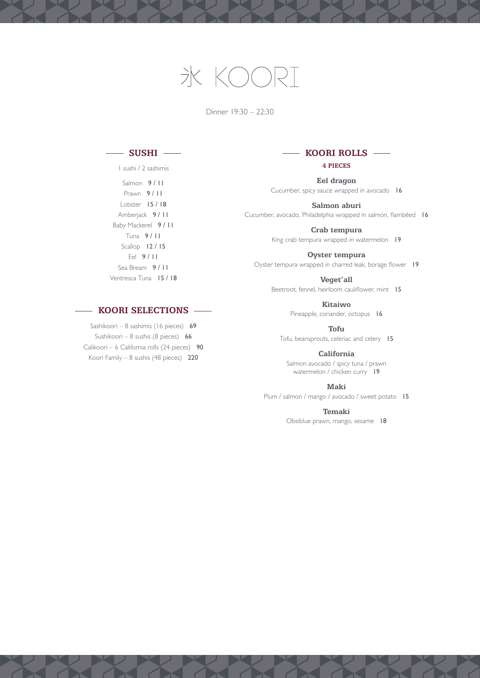# 氷  $K\cap C$

Dinner 19:30 – 22:30

## **SUSHI**

1 sushi / 2 sashimis Salmon 9/11 Prawn 9 / 11 Lobster 15 / 18 Amberjack 9 / 11 Baby Mackerel 9 / 11 Tuna 9 / 11 Scallop 12 / 15 Eel 9 / 11 Sea Bream 9 / 11 Ventresca Tuna 15 / 18

### - **KOORI SELECTIONS** -

Sashikoori – 8 sashimis (16 pieces) 69 Sushikoori – 8 sushis (8 pieces) 66 Calikoori – 6 California rolls (24 pieces) 90 Koori Family – 8 sushis (48 pieces) 220

### **KOORI ROLLS** — **4 PIECES**

**Eel dragon** Cucumber, spicy sauce wrapped in avocado 16

**Salmon aburi**

Cucumber, avocado, Philadelphia wrapped in salmon, flambéed 16

**Crab tempura** King crab tempura wrapped in watermelon 19

**Oyster tempura**

Oyster tempura wrapped in charred leak, borage flower 19

**Veget'all** Beetroot, fennel, heirloom cauliflower, mint 15

> **Kitaiwo** Pineapple, coriander, octopus 16

**Tofu** Tofu, beansprouts, celeriac and celery 15

**California** Salmon avocado / spicy tuna / prawn watermelon / chicken curry 19

**Maki**

Plum / salmon / mango / avocado / sweet potato 15

**Temaki**

Obsiblue prawn, mango, sesame 18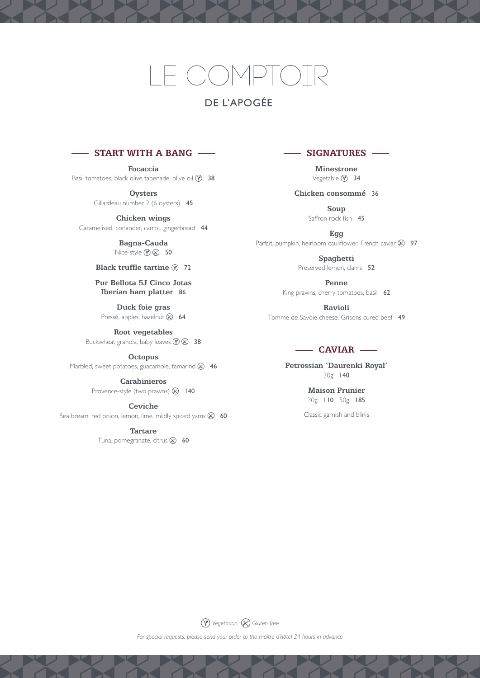# E COMPT(

# DE l'APOGÉE

### **START WITH A BANG**

**Focaccia** Basil tomatoes, black olive tapenade, olive oil  $\odot$  38

> **Oysters** Gillardeau number 2 (6 oysters) 45

**Chicken wings** Caramelised, coriander, carrot, gingerbread 44

> **Bagna-Cauda** Nice-style  $\mathcal{D} \otimes 50$

#### **Black truffle tartine**  $\hat{y}$  **72**

**Pur Bellota 5J Cinco Jotas Iberian ham platter** 86

**Duck foie gras** Pressé, apples, hazelnut & 64

**Root vegetables** Buckwheat granola, baby leaves  $\mathcal{P} \otimes 38$ 

**Octopus**

Marbled, sweet potatoes, guacamole, tamarind  $\otimes$  46

**Carabinieros** Provence-style (two prawns)  $\otimes$  140

**Ceviche**

Sea bream, red onion, lemon, lime, mildly spiced yams  $\otimes$  60

**Tartare** Tuna, pomegranate, citrus  $\otimes$  60

### **SIGNATURES**

**Minestrone** Vegetable <sup>1</sup> 34

**Chicken consommé** 36

**Soup** Saffron rock fish 45

**Egg** Parfait, pumpkin, heirloom cauliflower, French caviar  $\otimes$  97

> **Spaghetti** Preserved lemon, clams 52

**Penne** King prawns, cherry tomatoes, basil 62

**Ravioli** Tomme de Savoie cheese, Grisons cured beef 49

### **CAVIAR**

**Petrossian 'Daurenki Royal'** 30g 140

> **Maison Prunier** 30g 110 50g 185

Classic garnish and blinis

*Vegetarian Gluten free*

*For special requests, please send your order to the maître d'hôtel 24 hours in advance*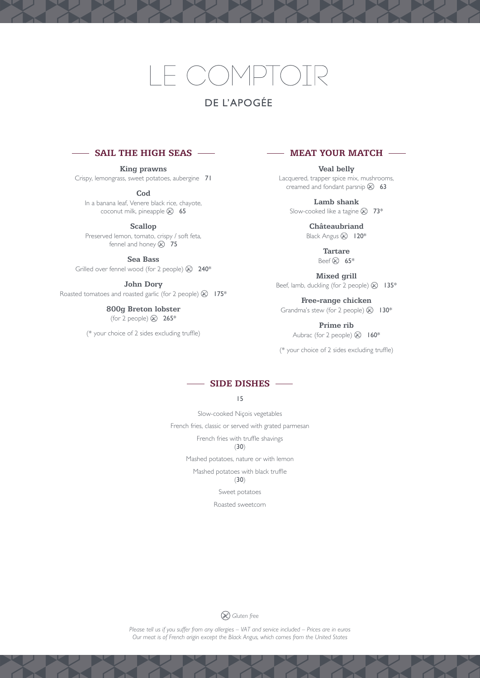# $CON$

# DE L'APOGÉE

### **SAIL THE HIGH SEAS**

**King prawns** Crispy, lemongrass, sweet potatoes, aubergine 71

**Cod**

In a banana leaf, Venere black rice, chayote, coconut milk, pineapple  $\otimes$  65

**Scallop**

Preserved lemon, tomato, crispy / soft feta, fennel and honey  $\otimes$  75

**Sea Bass**

Grilled over fennel wood (for 2 people)  $\otimes$  240\*

**John Dory**

Roasted tomatoes and roasted garlic (for 2 people)  $\otimes$  175\*

**800g Breton lobster** (for 2 people)  $\otimes$  265\*

(\* your choice of 2 sides excluding truffle)

 **MEAT YOUR MATCH** 

**Veal belly** Lacquered, trapper spice mix, mushrooms, creamed and fondant parsnip  $\otimes$  63

**Lamb shank** Slow-cooked like a tagine  $\otimes$  73\*

> **Châteaubriand** Black Angus & 120\*

> > **Tartare** Beef  $\otimes$  65\*

**Mixed grill** Beef, lamb, duckling (for 2 people)  $\otimes$  135\*

**Free-range chicken** Grandma's stew (for 2 people)  $\otimes$  130\*

**Prime rib** Aubrac (for 2 people)  $\otimes$  160\*

(\* your choice of 2 sides excluding truffle)



15

Slow-cooked Niçois vegetables French fries, classic or served with grated parmesan French fries with truffle shavings (30) Mashed potatoes, nature or with lemon

Mashed potatoes with black truffle

(30)

Sweet potatoes

Roasted sweetcorn



*Please tell us if you suffer from any allergies – VAT and service included – Prices are in euros Our meat is of French origin except the Black Angus, which comes from the United States*